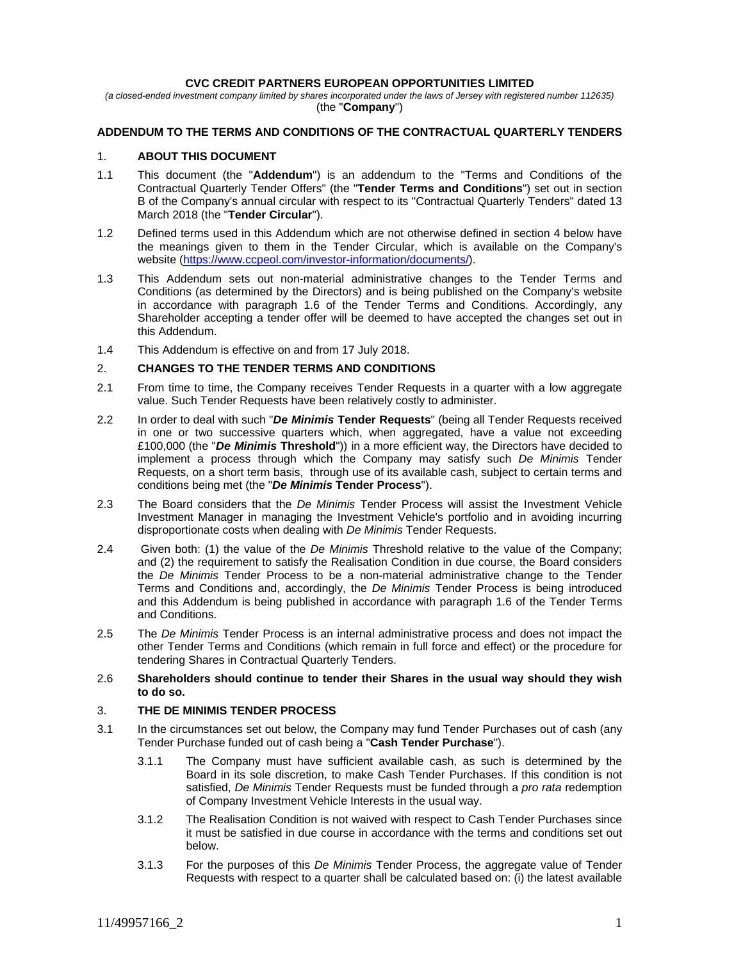#### **CVC CREDIT PARTNERS EUROPEAN OPPORTUNITIES LIMITED**

*(a closed-ended investment company limited by shares incorporated under the laws of Jersey with registered number 112635)*  (the "**Company**")

# **ADDENDUM TO THE TERMS AND CONDITIONS OF THE CONTRACTUAL QUARTERLY TENDERS**

#### 1. **ABOUT THIS DOCUMENT**

- 1.1 This document (the "**Addendum**") is an addendum to the "Terms and Conditions of the Contractual Quarterly Tender Offers" (the "**Tender Terms and Conditions**") set out in section B of the Company's annual circular with respect to its "Contractual Quarterly Tenders" dated 13 March 2018 (the "**Tender Circular**").
- 1.2 Defined terms used in this Addendum which are not otherwise defined in section 4 below have the meanings given to them in the Tender Circular, which is available on the Company's website (https://www.ccpeol.com/investor-information/documents/).
- 1.3 This Addendum sets out non-material administrative changes to the Tender Terms and Conditions (as determined by the Directors) and is being published on the Company's website in accordance with paragraph 1.6 of the Tender Terms and Conditions. Accordingly, any Shareholder accepting a tender offer will be deemed to have accepted the changes set out in this Addendum.
- 1.4 This Addendum is effective on and from 17 July 2018.

## 2. **CHANGES TO THE TENDER TERMS AND CONDITIONS**

- 2.1 From time to time, the Company receives Tender Requests in a quarter with a low aggregate value. Such Tender Requests have been relatively costly to administer.
- 2.2 In order to deal with such "*De Minimis* **Tender Requests**" (being all Tender Requests received in one or two successive quarters which, when aggregated, have a value not exceeding £100,000 (the "*De Minimis* **Threshold**")) in a more efficient way, the Directors have decided to implement a process through which the Company may satisfy such *De Minimis* Tender Requests, on a short term basis, through use of its available cash, subject to certain terms and conditions being met (the "*De Minimis* **Tender Process**").
- 2.3 The Board considers that the *De Minimis* Tender Process will assist the Investment Vehicle Investment Manager in managing the Investment Vehicle's portfolio and in avoiding incurring disproportionate costs when dealing with *De Minimis* Tender Requests.
- 2.4 Given both: (1) the value of the *De Minimis* Threshold relative to the value of the Company; and (2) the requirement to satisfy the Realisation Condition in due course, the Board considers the *De Minimis* Tender Process to be a non-material administrative change to the Tender Terms and Conditions and, accordingly, the *De Minimis* Tender Process is being introduced and this Addendum is being published in accordance with paragraph 1.6 of the Tender Terms and Conditions.
- 2.5 The *De Minimis* Tender Process is an internal administrative process and does not impact the other Tender Terms and Conditions (which remain in full force and effect) or the procedure for tendering Shares in Contractual Quarterly Tenders.
- 2.6 **Shareholders should continue to tender their Shares in the usual way should they wish to do so.**

## 3. **THE DE MINIMIS TENDER PROCESS**

- 3.1 In the circumstances set out below, the Company may fund Tender Purchases out of cash (any Tender Purchase funded out of cash being a "**Cash Tender Purchase**").
	- 3.1.1 The Company must have sufficient available cash, as such is determined by the Board in its sole discretion, to make Cash Tender Purchases. If this condition is not satisfied, *De Minimis* Tender Requests must be funded through a *pro rata* redemption of Company Investment Vehicle Interests in the usual way.
	- 3.1.2 The Realisation Condition is not waived with respect to Cash Tender Purchases since it must be satisfied in due course in accordance with the terms and conditions set out below.
	- 3.1.3 For the purposes of this *De Minimis* Tender Process, the aggregate value of Tender Requests with respect to a quarter shall be calculated based on: (i) the latest available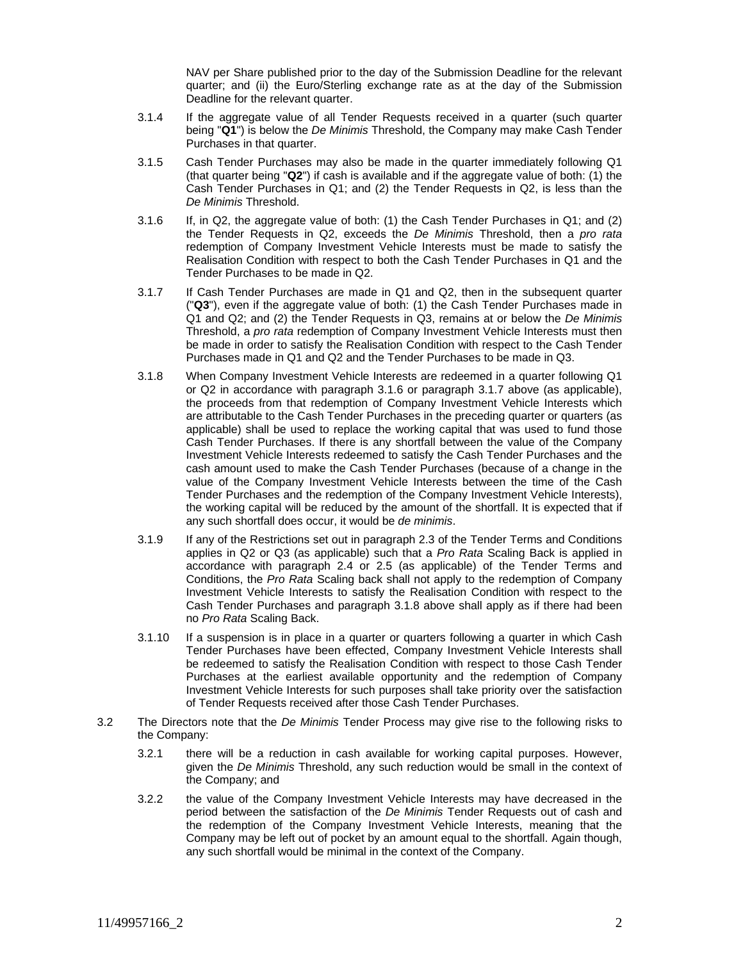NAV per Share published prior to the day of the Submission Deadline for the relevant quarter; and (ii) the Euro/Sterling exchange rate as at the day of the Submission Deadline for the relevant quarter.

- 3.1.4 If the aggregate value of all Tender Requests received in a quarter (such quarter being "**Q1**") is below the *De Minimis* Threshold, the Company may make Cash Tender Purchases in that quarter.
- 3.1.5 Cash Tender Purchases may also be made in the quarter immediately following Q1 (that quarter being "**Q2**") if cash is available and if the aggregate value of both: (1) the Cash Tender Purchases in Q1; and (2) the Tender Requests in Q2, is less than the *De Minimis* Threshold.
- 3.1.6 If, in Q2, the aggregate value of both: (1) the Cash Tender Purchases in Q1; and (2) the Tender Requests in Q2, exceeds the *De Minimis* Threshold, then a *pro rata* redemption of Company Investment Vehicle Interests must be made to satisfy the Realisation Condition with respect to both the Cash Tender Purchases in Q1 and the Tender Purchases to be made in Q2.
- 3.1.7 If Cash Tender Purchases are made in Q1 and Q2, then in the subsequent quarter ("**Q3**"), even if the aggregate value of both: (1) the Cash Tender Purchases made in Q1 and Q2; and (2) the Tender Requests in Q3, remains at or below the *De Minimis* Threshold, a *pro rata* redemption of Company Investment Vehicle Interests must then be made in order to satisfy the Realisation Condition with respect to the Cash Tender Purchases made in Q1 and Q2 and the Tender Purchases to be made in Q3.
- 3.1.8 When Company Investment Vehicle Interests are redeemed in a quarter following Q1 or Q2 in accordance with paragraph 3.1.6 or paragraph 3.1.7 above (as applicable), the proceeds from that redemption of Company Investment Vehicle Interests which are attributable to the Cash Tender Purchases in the preceding quarter or quarters (as applicable) shall be used to replace the working capital that was used to fund those Cash Tender Purchases. If there is any shortfall between the value of the Company Investment Vehicle Interests redeemed to satisfy the Cash Tender Purchases and the cash amount used to make the Cash Tender Purchases (because of a change in the value of the Company Investment Vehicle Interests between the time of the Cash Tender Purchases and the redemption of the Company Investment Vehicle Interests), the working capital will be reduced by the amount of the shortfall. It is expected that if any such shortfall does occur, it would be *de minimis*.
- 3.1.9 If any of the Restrictions set out in paragraph 2.3 of the Tender Terms and Conditions applies in Q2 or Q3 (as applicable) such that a *Pro Rata* Scaling Back is applied in accordance with paragraph 2.4 or 2.5 (as applicable) of the Tender Terms and Conditions, the *Pro Rata* Scaling back shall not apply to the redemption of Company Investment Vehicle Interests to satisfy the Realisation Condition with respect to the Cash Tender Purchases and paragraph 3.1.8 above shall apply as if there had been no *Pro Rata* Scaling Back.
- 3.1.10 If a suspension is in place in a quarter or quarters following a quarter in which Cash Tender Purchases have been effected, Company Investment Vehicle Interests shall be redeemed to satisfy the Realisation Condition with respect to those Cash Tender Purchases at the earliest available opportunity and the redemption of Company Investment Vehicle Interests for such purposes shall take priority over the satisfaction of Tender Requests received after those Cash Tender Purchases.
- 3.2 The Directors note that the *De Minimis* Tender Process may give rise to the following risks to the Company:
	- 3.2.1 there will be a reduction in cash available for working capital purposes. However, given the *De Minimis* Threshold, any such reduction would be small in the context of the Company; and
	- 3.2.2 the value of the Company Investment Vehicle Interests may have decreased in the period between the satisfaction of the *De Minimis* Tender Requests out of cash and the redemption of the Company Investment Vehicle Interests, meaning that the Company may be left out of pocket by an amount equal to the shortfall. Again though, any such shortfall would be minimal in the context of the Company.